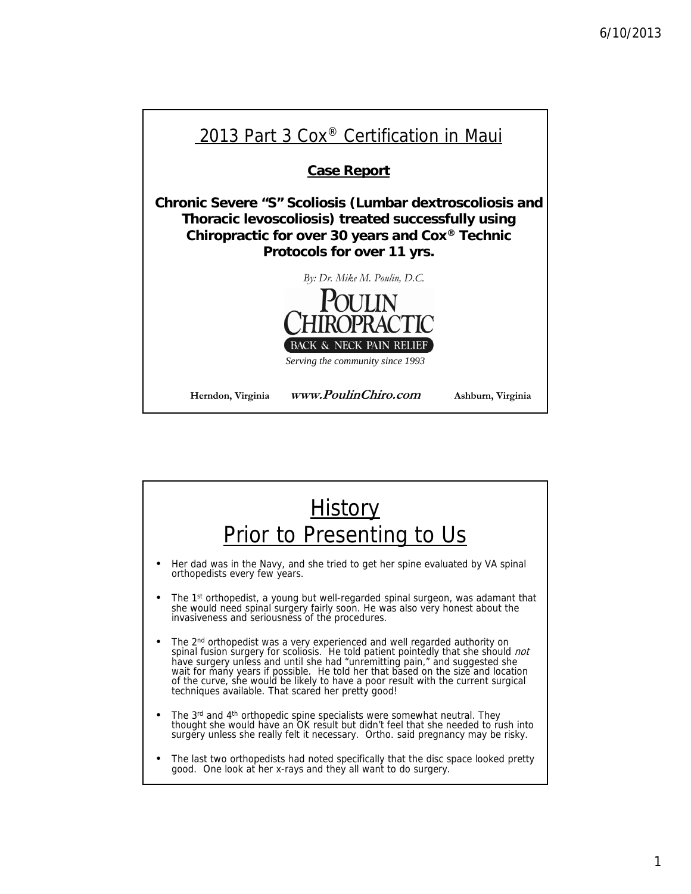

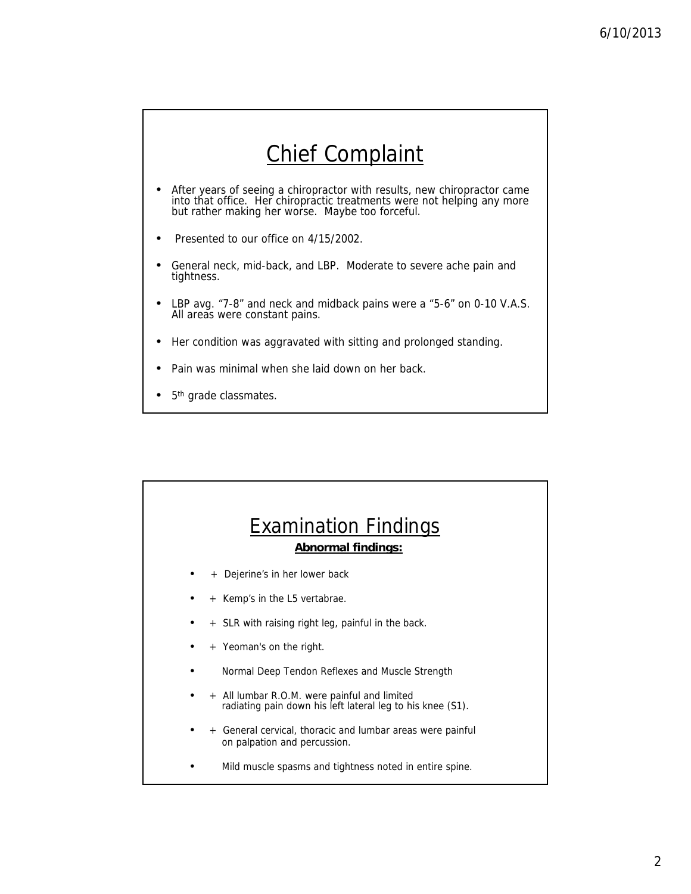### Chief Complaint

- After years of seeing a chiropractor with results, new chiropractor came into that office. Her chiropractic treatments were not helping any more but rather making her worse. Maybe too forceful.
- Presented to our office on 4/15/2002.
- General neck, mid-back, and LBP. Moderate to severe ache pain and tightness.
- LBP avg. "7-8" and neck and midback pains were a "5-6" on 0-10 V.A.S. All areas were constant pains.
- Her condition was aggravated with sitting and prolonged standing.
- Pain was minimal when she laid down on her back.
- 5<sup>th</sup> grade classmates.

# Examination Findings **Abnormal findings:** Dejerine's in her lower back • + Kemp's in the L5 vertabrae. • + SLR with raising right leg, painful in the back. • + Yeoman's on the right. • Normal Deep Tendon Reflexes and Muscle Strength All lumbar R.O.M. were painful and limited radiating pain down his left lateral leg to his knee (S1). • + General cervical, thoracic and lumbar areas were painful on palpation and percussion. Mild muscle spasms and tightness noted in entire spine.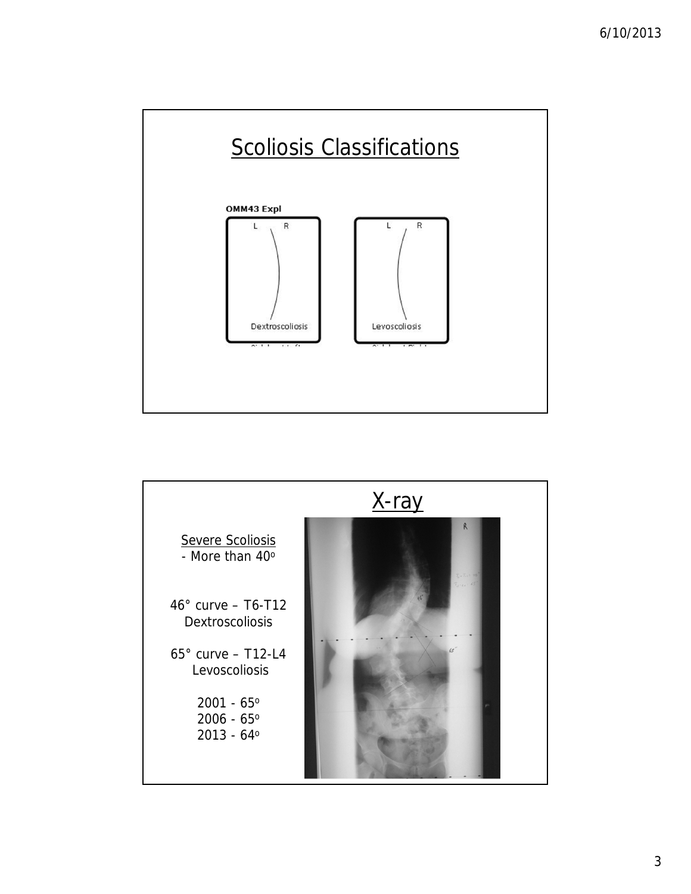

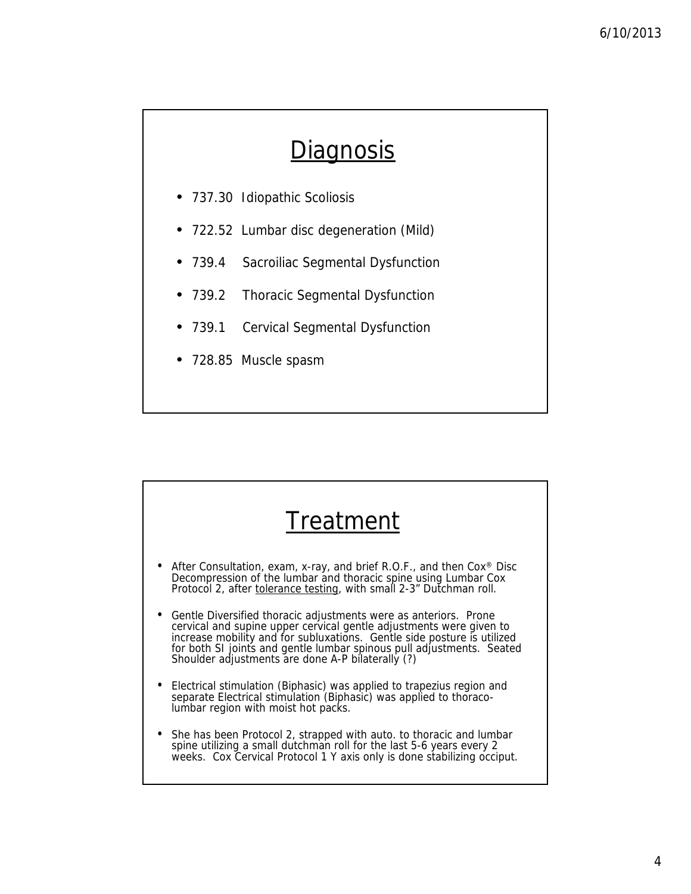### **Diagnosis**

- 737.30 Idiopathic Scoliosis
- 722.52 Lumbar disc degeneration (Mild)
- 739.4 Sacroiliac Segmental Dysfunction
- 739.2 Thoracic Segmental Dysfunction
- 739.1 Cervical Segmental Dysfunction
- 728.85 Muscle spasm

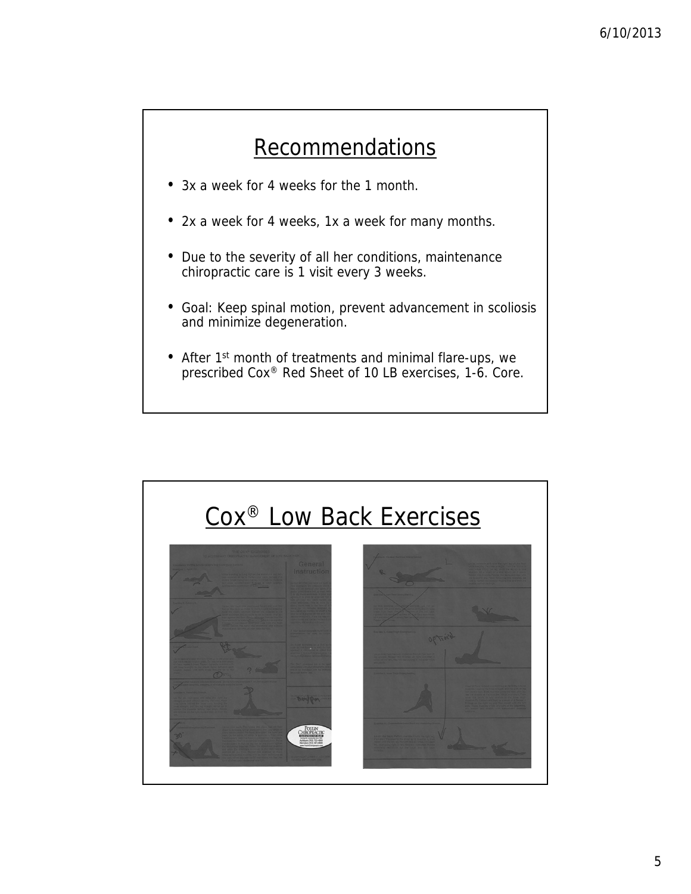#### **Recommendations**

- 3x a week for 4 weeks for the 1 month.
- 2x a week for 4 weeks, 1x a week for many months.
- Due to the severity of all her conditions, maintenance chiropractic care is 1 visit every 3 weeks.
- Goal: Keep spinal motion, prevent advancement in scoliosis and minimize degeneration.
- After 1st month of treatments and minimal flare-ups, we prescribed Cox® Red Sheet of 10 LB exercises, 1-6. Core.

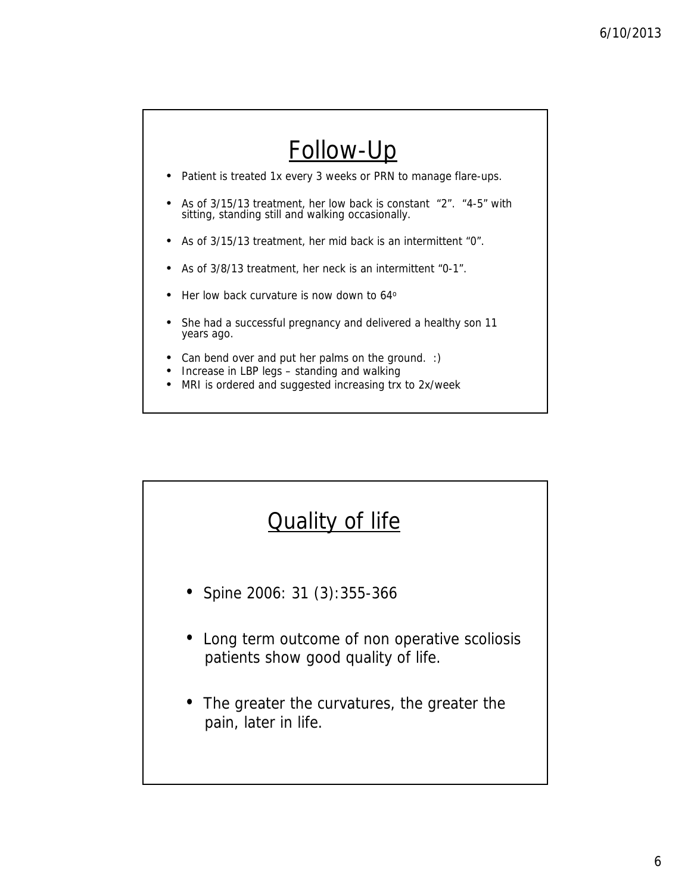

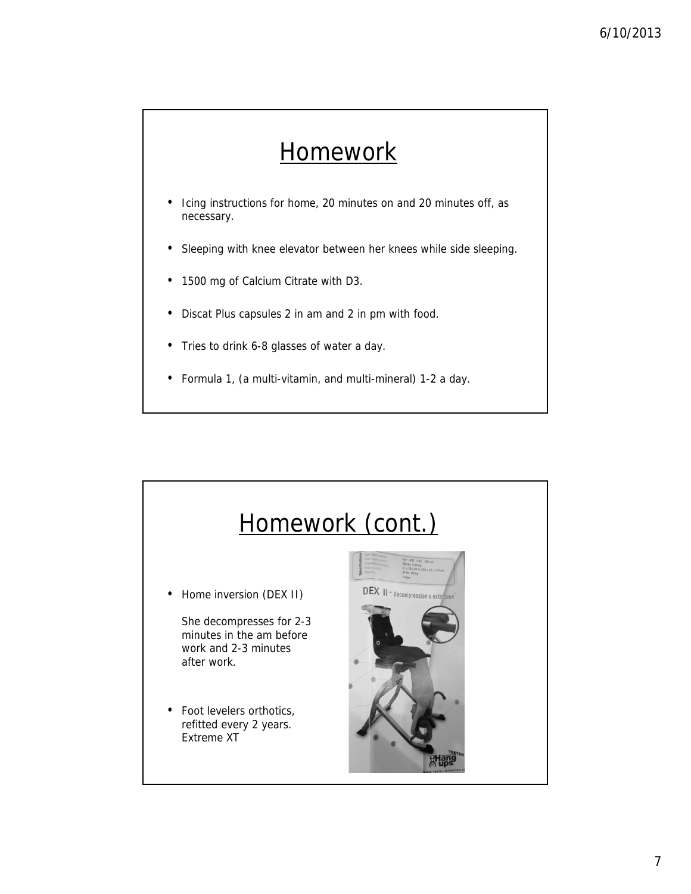# **Homework**

- Icing instructions for home, 20 minutes on and 20 minutes off, as necessary.
- Sleeping with knee elevator between her knees while side sleeping.
- 1500 mg of Calcium Citrate with D3.
- Discat Plus capsules 2 in am and 2 in pm with food.
- Tries to drink 6-8 glasses of water a day.
- Formula 1, (a multi-vitamin, and multi-mineral) 1-2 a day.

![](_page_6_Figure_8.jpeg)